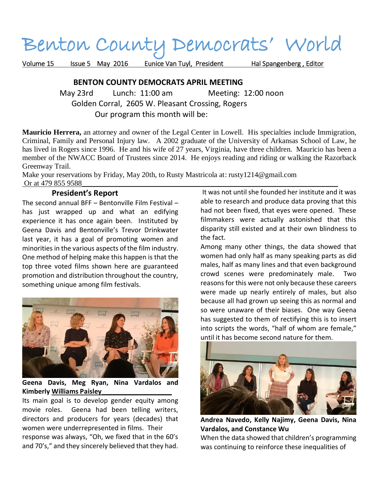# Benton County Democrats' World

Volume 15 Issue 5 May 2016 Eunice Van Tuyl, President Hal Spangenberg, Editor

## **BENTON COUNTY DEMOCRATS APRIL MEETING**

 May 23rd Lunch: 11:00 am Meeting: 12:00 noon Golden Corral, 2605 W. Pleasant Crossing, Rogers Our program this month will be:

**Mauricio Herrera,** an attorney and owner of the Legal Center in Lowell. His specialties include Immigration, Criminal, Family and Personal Injury law. A 2002 graduate of the University of Arkansas School of Law, he has lived in Rogers since 1996. He and his wife of 27 years, Virginia, have three children. Mauricio has been a member of the NWACC Board of Trustees since 2014. He enjoys reading and riding or walking the Razorback Greenway Trail.

Make your reservations by Friday, May 20th, to Rusty Mastricola at: rusty1214@gmail.com Or at 479 855 9588

### **President's Report**

The second annual BFF – Bentonville Film Festival – has just wrapped up and what an edifying experience it has once again been. Instituted by Geena Davis and Bentonville's Trevor Drinkwater last year, it has a goal of promoting women and minorities in the various aspects of the film industry. One method of helping make this happen is that the top three voted films shown here are guaranteed promotion and distribution throughout the country, something unique among film festivals.



**Geena Davis, Meg Ryan, Nina Vardalos and Kimberly Williams Paisley\_\_\_\_\_\_\_\_\_\_\_\_\_\_\_\_\_\_\_**

Its main goal is to develop gender equity among movie roles. Geena had been telling writers, directors and producers for years (decades) that women were underrepresented in films. Their response was always, "Oh, we fixed that in the 60's and 70's," and they sincerely believed that they had.

It was not until she founded her institute and it was able to research and produce data proving that this had not been fixed, that eyes were opened. These filmmakers were actually astonished that this disparity still existed and at their own blindness to the fact.

Among many other things, the data showed that women had only half as many speaking parts as did males, half as many lines and that even background crowd scenes were predominately male. Two reasons for this were not only because these careers were made up nearly entirely of males, but also because all had grown up seeing this as normal and so were unaware of their biases. One way Geena has suggested to them of rectifying this is to insert into scripts the words, "half of whom are female," until it has become second nature for them.



**Andrea Navedo, Kelly Najimy, Geena Davis, Nina Vardalos, and Constance Wu**

When the data showed that children's programming was continuing to reinforce these inequalities of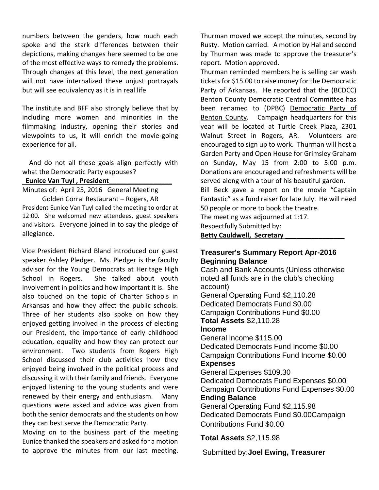numbers between the genders, how much each spoke and the stark differences between their depictions, making changes here seemed to be one of the most effective ways to remedy the problems. Through changes at this level, the next generation will not have internalized these unjust portrayals but will see equivalency as it is in real life

The institute and BFF also strongly believe that by including more women and minorities in the filmmaking industry, opening their stories and viewpoints to us, it will enrich the movie-going experience for all.

And do not all these goals align perfectly with what the Democratic Party espouses?

#### **Eunice Van Tuyl , President\_\_\_\_\_\_\_\_\_\_\_\_\_\_\_\_\_**

Minutes of: April 25, 2016 General Meeting

Golden Corral Restaurant – Rogers, AR President Eunice Van Tuyl called the meeting to order at 12:00. She welcomed new attendees, guest speakers and visitors. Everyone joined in to say the pledge of allegiance.

Vice President Richard Bland introduced our guest speaker Ashley Pledger. Ms. Pledger is the faculty advisor for the Young Democrats at Heritage High School in Rogers. She talked about youth involvement in politics and how important it is. She also touched on the topic of Charter Schools in Arkansas and how they affect the public schools. Three of her students also spoke on how they enjoyed getting involved in the process of electing our President, the importance of early childhood education, equality and how they can protect our environment. Two students from Rogers High School discussed their club activities how they enjoyed being involved in the political process and discussing it with their family and friends. Everyone enjoyed listening to the young students and were renewed by their energy and enthusiasm. Many questions were asked and advice was given from both the senior democrats and the students on how they can best serve the Democratic Party.

Moving on to the business part of the meeting Eunice thanked the speakers and asked for a motion to approve the minutes from our last meeting.

Thurman moved we accept the minutes, second by Rusty. Motion carried. A motion by Hal and second by Thurman was made to approve the treasurer's report. Motion approved.

Thurman reminded members he is selling car wash tickets for \$15.00 to raise money for the Democratic Party of Arkansas. He reported that the (BCDCC) Benton County Democratic Central Committee has been renamed to (DPBC) Democratic Party of Benton County. Campaign headquarters for this year will be located at Turtle Creek Plaza, 2301 Walnut Street in Rogers, AR. Volunteers are encouraged to sign up to work. Thurman will host a Garden Party and Open House for Grimsley Graham on Sunday, May 15 from 2:00 to 5:00 p.m. Donations are encouraged and refreshments will be served along with a tour of his beautiful garden.

Bill Beck gave a report on the movie "Captain Fantastic" as a fund raiser for late July. He will need 50 people or more to book the theatre.

The meeting was adjourned at 1:17.

Respectfully Submitted by:

#### **Betty Cauldwell, Secretary \_\_\_\_\_\_\_\_\_\_\_\_\_\_\_\_**

## **Treasurer's Summary Report Apr-2016 Beginning Balance**

Cash and Bank Accounts (Unless otherwise noted all funds are in the club's checking account) General Operating Fund \$2,110.28 Dedicated Democrats Fund \$0.00 Campaign Contributions Fund \$0.00 **Total Assets** \$2,110.28 **Income** General Income \$115.00 Dedicated Democrats Fund Income \$0.00 Campaign Contributions Fund Income \$0.00 **Expenses** General Expenses \$109.30 Dedicated Democrats Fund Expenses \$0.00 Campaign Contributions Fund Expenses \$0.00 **Ending Balance** General Operating Fund \$2,115.98 Dedicated Democrats Fund \$0.00Campaign

Contributions Fund \$0.00

## **Total Assets** \$2,115.98

Submitted by:**Joel Ewing, Treasurer**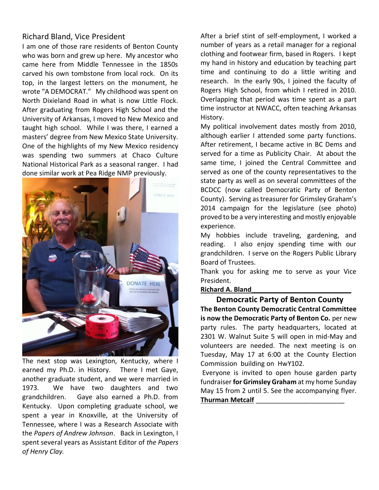## Richard Bland, Vice President

I am one of those rare residents of Benton County who was born and grew up here. My ancestor who came here from Middle Tennessee in the 1850s carved his own tombstone from local rock. On its top, in the largest letters on the monument, he wrote "A DEMOCRAT." My childhood was spent on North Dixieland Road in what is now Little Flock. After graduating from Rogers High School and the University of Arkansas, I moved to New Mexico and taught high school. While I was there, I earned a masters' degree from New Mexico State University. One of the highlights of my New Mexico residency was spending two summers at Chaco Culture National Historical Park as a seasonal ranger. I had done similar work at Pea Ridge NMP previously.



The next stop was Lexington, Kentucky, where I earned my Ph.D. in History. There I met Gaye, another graduate student, and we were married in 1973. We have two daughters and two grandchildren. Gaye also earned a Ph.D. from Kentucky. Upon completing graduate school, we spent a year in Knoxville, at the University of Tennessee, where I was a Research Associate with the *Papers of Andrew Johnson*. Back in Lexington, I spent several years as Assistant Editor of *the Papers of Henry Clay.*

After a brief stint of self-employment, I worked a number of years as a retail manager for a regional clothing and footwear firm, based in Rogers. I kept my hand in history and education by teaching part time and continuing to do a little writing and research. In the early 90s, I joined the faculty of Rogers High School, from which I retired in 2010. Overlapping that period was time spent as a part time instructor at NWACC, often teaching Arkansas History.

My political involvement dates mostly from 2010, although earlier I attended some party functions. After retirement, I became active in BC Dems and served for a time as Publicity Chair. At about the same time, I joined the Central Committee and served as one of the county representatives to the state party as well as on several committees of the BCDCC (now called Democratic Party of Benton County). Serving astreasurer for Grimsley Graham's 2014 campaign for the legislature (see photo) proved to be a very interesting and mostly enjoyable experience.

My hobbies include traveling, gardening, and reading. I also enjoy spending time with our grandchildren. I serve on the Rogers Public Library Board of Trustees.

Thank you for asking me to serve as your Vice President.

#### **Richard A. Bland\_\_\_\_\_\_\_\_\_\_\_\_\_\_\_\_\_\_\_\_\_\_\_\_\_\_\_**

 **Democratic Party of Benton County The Benton County Democratic Central Committee is now the Democratic Party of Benton Co.** per new party rules. The party headquarters, located at 2301 W. Walnut Suite 5 will open in mid-May and volunteers are needed. The next meeting is on Tuesday, May 17 at 6:00 at the County Election Commission building on HwY102.

Everyone is invited to open house garden party fundraiser **for Grimsley Graham** at my home Sunday May 15 from 2 until 5. See the accompanying flyer. **Thurman Metcalf** \_\_\_\_\_\_\_\_\_\_\_\_\_\_\_\_\_\_\_\_\_\_\_\_